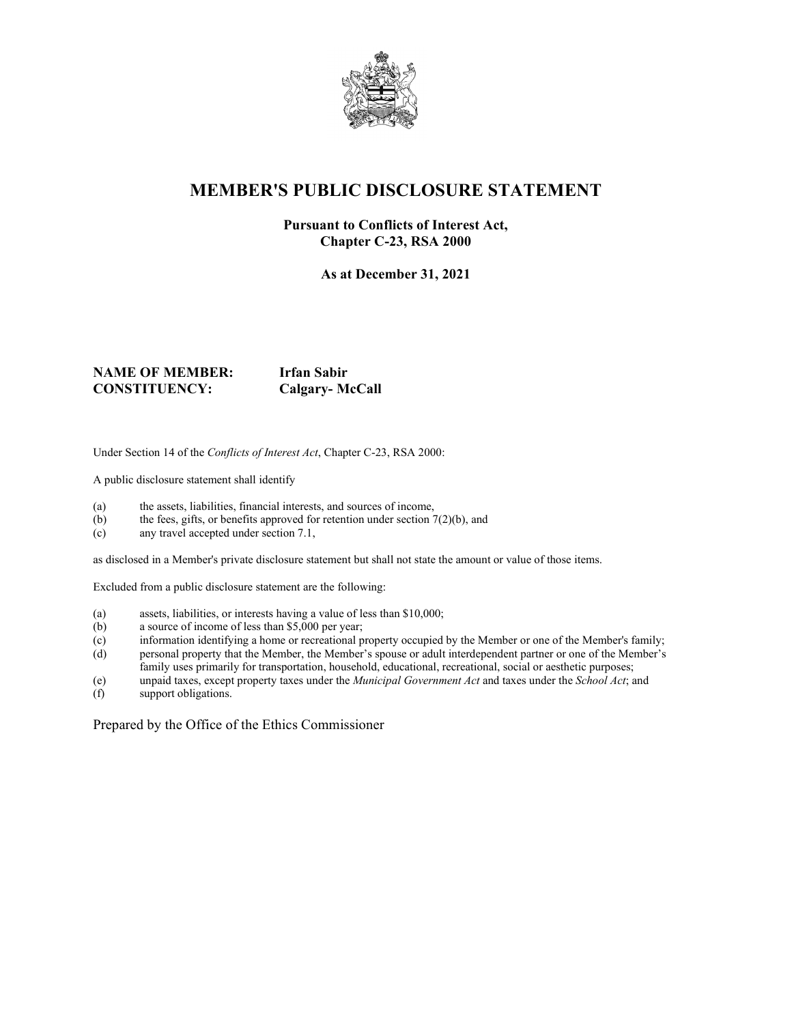

## **MEMBER'S PUBLIC DISCLOSURE STATEMENT**

#### **Pursuant to Conflicts of Interest Act, Chapter C-23, RSA 2000**

**As at December 31, 2021**

#### **NAME OF MEMBER: Irfan Sabir CONSTITUENCY: Calgary- McCall**

Under Section 14 of the *Conflicts of Interest Act*, Chapter C-23, RSA 2000:

A public disclosure statement shall identify

- (a) the assets, liabilities, financial interests, and sources of income,
- (b) the fees, gifts, or benefits approved for retention under section  $7(2)(b)$ , and
- (c) any travel accepted under section 7.1,

as disclosed in a Member's private disclosure statement but shall not state the amount or value of those items.

Excluded from a public disclosure statement are the following:

- (a) assets, liabilities, or interests having a value of less than \$10,000;
- (b) a source of income of less than \$5,000 per year;
- (c) information identifying a home or recreational property occupied by the Member or one of the Member's family;
- (d) personal property that the Member, the Member's spouse or adult interdependent partner or one of the Member's family uses primarily for transportation, household, educational, recreational, social or aesthetic purposes;
- (e) unpaid taxes, except property taxes under the *Municipal Government Act* and taxes under the *School Act*; and
- support obligations.

Prepared by the Office of the Ethics Commissioner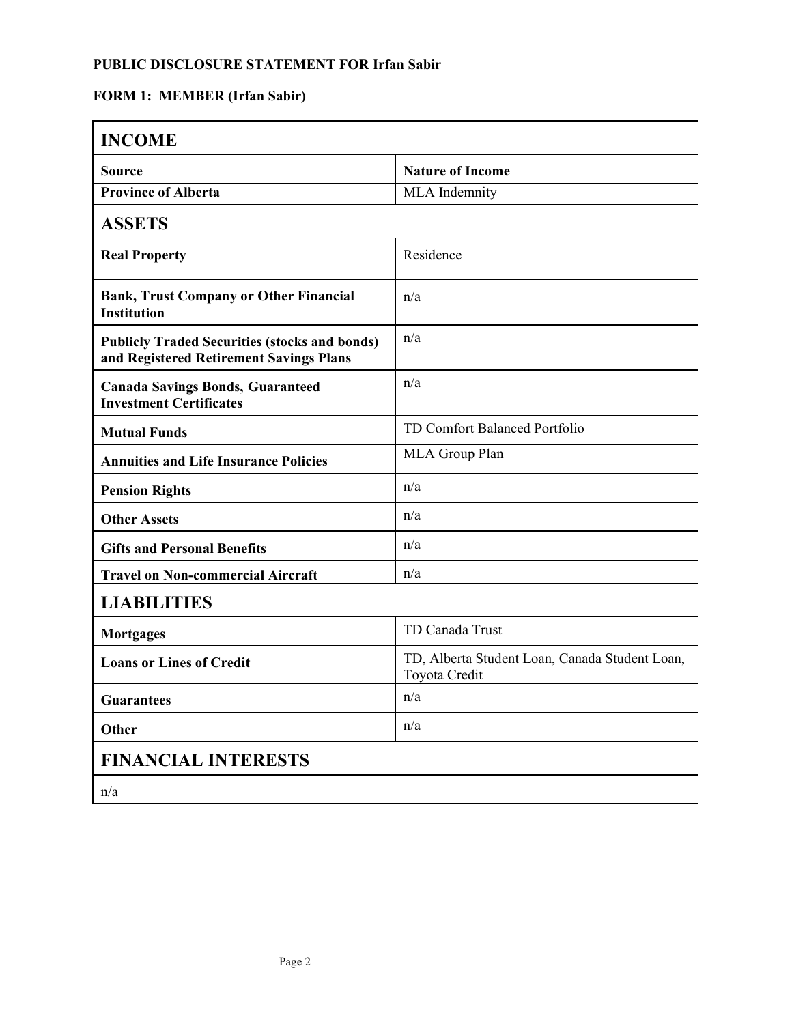### **PUBLIC DISCLOSURE STATEMENT FOR Irfan Sabir**

## **FORM 1: MEMBER (Irfan Sabir)**

| <b>INCOME</b>                                                                                   |                                                                 |
|-------------------------------------------------------------------------------------------------|-----------------------------------------------------------------|
| <b>Source</b>                                                                                   | <b>Nature of Income</b>                                         |
| <b>Province of Alberta</b>                                                                      | MLA Indemnity                                                   |
| <b>ASSETS</b>                                                                                   |                                                                 |
| <b>Real Property</b>                                                                            | Residence                                                       |
| <b>Bank, Trust Company or Other Financial</b><br><b>Institution</b>                             | n/a                                                             |
| <b>Publicly Traded Securities (stocks and bonds)</b><br>and Registered Retirement Savings Plans | n/a                                                             |
| <b>Canada Savings Bonds, Guaranteed</b><br><b>Investment Certificates</b>                       | n/a                                                             |
| <b>Mutual Funds</b>                                                                             | TD Comfort Balanced Portfolio                                   |
| <b>Annuities and Life Insurance Policies</b>                                                    | MLA Group Plan                                                  |
| <b>Pension Rights</b>                                                                           | n/a                                                             |
| <b>Other Assets</b>                                                                             | n/a                                                             |
| <b>Gifts and Personal Benefits</b>                                                              | n/a                                                             |
| <b>Travel on Non-commercial Aircraft</b>                                                        | n/a                                                             |
| <b>LIABILITIES</b>                                                                              |                                                                 |
| <b>Mortgages</b>                                                                                | TD Canada Trust                                                 |
| <b>Loans or Lines of Credit</b>                                                                 | TD, Alberta Student Loan, Canada Student Loan,<br>Toyota Credit |
| <b>Guarantees</b>                                                                               | n/a                                                             |
| Other                                                                                           | n/a                                                             |
| <b>FINANCIAL INTERESTS</b>                                                                      |                                                                 |
| n/a                                                                                             |                                                                 |